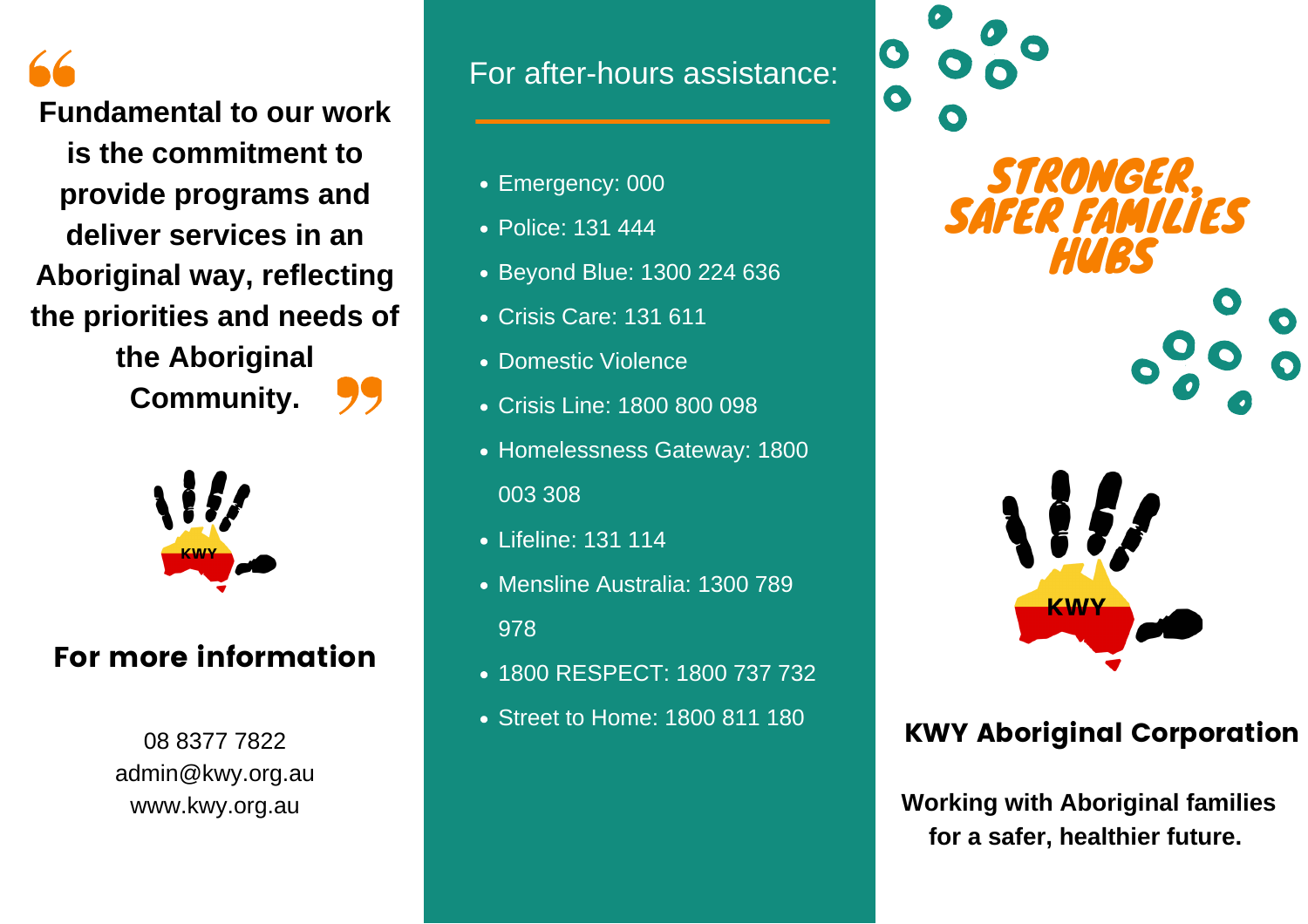**Fundamental to our work is the commitment to provide programs and deliver services in an Aboriginal way, reflecting the priorities and needs of the Aboriginal Community.**



# For more information

08 8377 7822 admin@kwy.org.au www.kwy.org.au

# For after-hours assistance:

- Emergency: 000
- Police: 131 444
- Beyond Blue: 1300 224 636
- Crisis Care: 131 611
- Domestic Violence
- Crisis Line: 1800 800 098
- Homelessness Gateway: 1800 003 308
- Lifeline: 131 114
- Mensline Australia: 1300 789 978
- 1800 RESPECT: 1800 737 732
- Street to Home: 1800 811 180



# KWY Aboriginal Corporation

**Working with Aboriginal families for a safer, healthier future.**